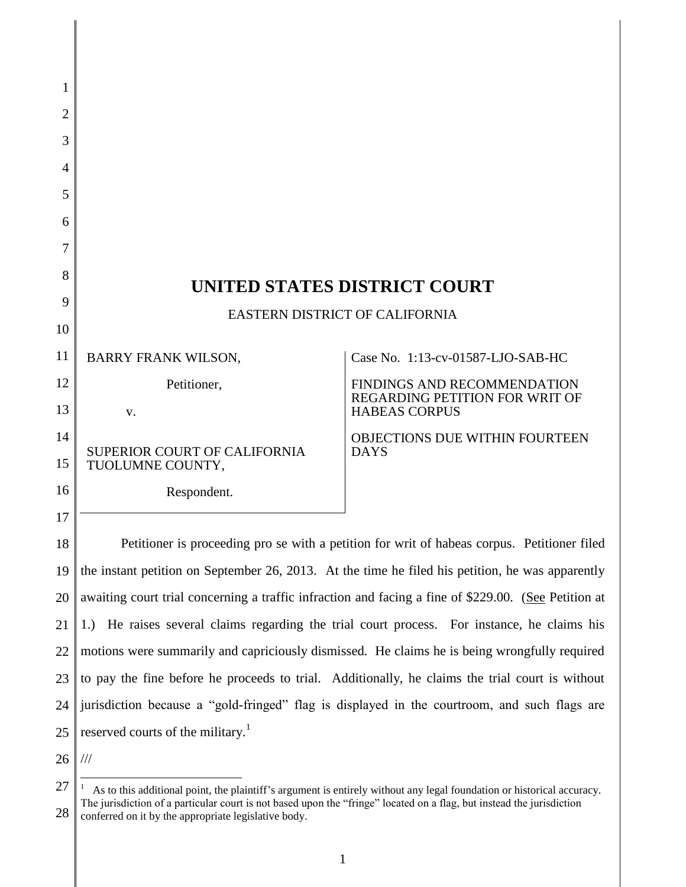| 1        |                                                                                                      |                                                               |
|----------|------------------------------------------------------------------------------------------------------|---------------------------------------------------------------|
| 2        |                                                                                                      |                                                               |
| 3        |                                                                                                      |                                                               |
| 4        |                                                                                                      |                                                               |
| 5        |                                                                                                      |                                                               |
| 6        |                                                                                                      |                                                               |
| 7        |                                                                                                      |                                                               |
| 8        |                                                                                                      |                                                               |
| 9        | UNITED STATES DISTRICT COURT                                                                         |                                                               |
| 10       | EASTERN DISTRICT OF CALIFORNIA                                                                       |                                                               |
| 11       | <b>BARRY FRANK WILSON.</b>                                                                           | Case No. 1:13-cv-01587-LJO-SAB-HC                             |
| 12       | Petitioner,                                                                                          | FINDINGS AND RECOMMENDATION                                   |
| 13       | V.                                                                                                   | <b>REGARDING PETITION FOR WRIT OF</b><br><b>HABEAS CORPUS</b> |
| 14<br>15 | <b>SUPERIOR COURT OF CALIFORNIA</b><br>TUOLUMNE COUNTY,                                              | <b>OBJECTIONS DUE WITHIN FOURTEEN</b><br><b>DAYS</b>          |
| 16       | Respondent.                                                                                          |                                                               |
| 17       |                                                                                                      |                                                               |
| 18       | Petitioner is proceeding pro se with a petition for writ of habeas corpus. Petitioner filed          |                                                               |
| 19       | the instant petition on September 26, 2013. At the time he filed his petition, he was apparently     |                                                               |
| 20       | awaiting court trial concerning a traffic infraction and facing a fine of \$229.00. (See Petition at |                                                               |
| 21       | 1.) He raises several claims regarding the trial court process. For instance, he claims his          |                                                               |
| 22       | motions were summarily and capriciously dismissed. He claims he is being wrongfully required         |                                                               |
| 23       | to pay the fine before he proceeds to trial. Additionally, he claims the trial court is without      |                                                               |
| 24       | jurisdiction because a "gold-fringed" flag is displayed in the courtroom, and such flags are         |                                                               |
| 25       | reserved courts of the military. <sup>1</sup>                                                        |                                                               |
| 26       | $\frac{1}{1}$                                                                                        |                                                               |
|          |                                                                                                      |                                                               |

 $\overline{1}$ 

<sup>27</sup> 28 <sup>1</sup> As to this additional point, the plaintiff's argument is entirely without any legal foundation or historical accuracy. The jurisdiction of a particular court is not based upon the "fringe" located on a flag, but instead the jurisdiction conferred on it by the appropriate legislative body.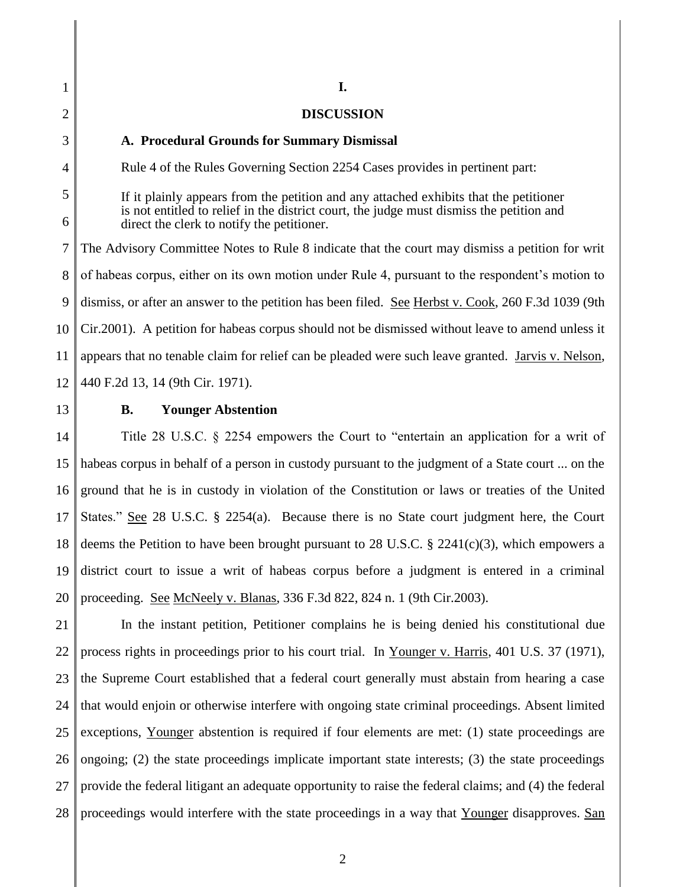1 2 3 4 5 6 7 8 9 10 11 12 13 14 15 16 17 18 19 20 21 22 23 24 25 26 **I. DISCUSSION A. Procedural Grounds for Summary Dismissal** Rule 4 of the Rules Governing Section 2254 Cases provides in pertinent part: If it plainly appears from the petition and any attached exhibits that the petitioner is not entitled to relief in the district court, the judge must dismiss the petition and direct the clerk to notify the petitioner. The Advisory Committee Notes to Rule 8 indicate that the court may dismiss a petition for writ of habeas corpus, either on its own motion under Rule 4, pursuant to the respondent's motion to dismiss, or after an answer to the petition has been filed. See Herbst v. Cook, 260 F.3d 1039 (9th Cir.2001). A petition for habeas corpus should not be dismissed without leave to amend unless it appears that no tenable claim for relief can be pleaded were such leave granted. Jarvis v. Nelson, 440 F.2d 13, 14 (9th Cir. 1971). **B. Younger Abstention** Title 28 U.S.C. § 2254 empowers the Court to "entertain an application for a writ of habeas corpus in behalf of a person in custody pursuant to the judgment of a State court ... on the ground that he is in custody in violation of the Constitution or laws or treaties of the United States." See 28 U.S.C.  $\S$  2254(a). Because there is no State court judgment here, the Court deems the Petition to have been brought pursuant to 28 U.S.C. § 2241(c)(3), which empowers a district court to issue a writ of habeas corpus before a judgment is entered in a criminal proceeding. See McNeely v. Blanas, 336 F.3d 822, 824 n. 1 (9th Cir.2003). In the instant petition, Petitioner complains he is being denied his constitutional due process rights in proceedings prior to his court trial. In Younger v. Harris, 401 U.S. 37 (1971), the Supreme Court established that a federal court generally must abstain from hearing a case that would enjoin or otherwise interfere with ongoing state criminal proceedings. Absent limited exceptions, Younger abstention is required if four elements are met: (1) state proceedings are

27 28 ongoing;  $(2)$  the state proceedings implicate important state interests;  $(3)$  the state proceedings provide the federal litigant an adequate opportunity to raise the federal claims; and (4) the federal proceedings would interfere with the state proceedings in a way that Younger disapproves. San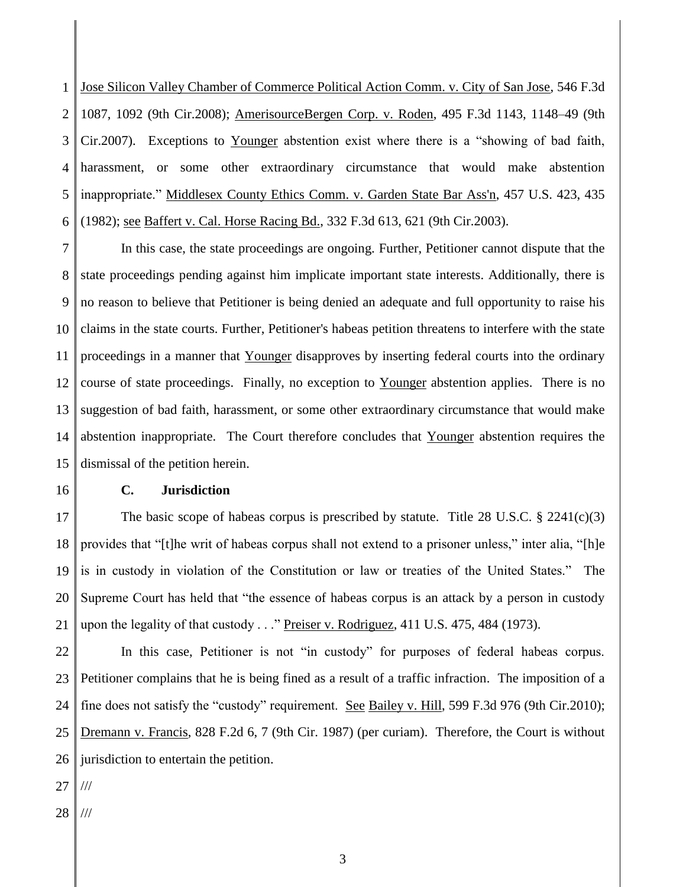1 2 3 4 5 6 Jose Silicon Valley Chamber of Commerce Political Action Comm. v. City of San Jose, 546 F.3d 1087, 1092 (9th Cir.2008); AmerisourceBergen Corp. v. Roden, 495 F.3d 1143, 1148–49 (9th Cir.2007). Exceptions to Younger abstention exist where there is a "showing of bad faith, harassment, or some other extraordinary circumstance that would make abstention inappropriate." Middlesex County Ethics Comm. v. Garden State Bar Ass'n, 457 U.S. 423, 435 (1982); see Baffert v. Cal. Horse Racing Bd., 332 F.3d 613, 621 (9th Cir.2003).

7 8 9 10 11 12 13 14 15 In this case, the state proceedings are ongoing. Further, Petitioner cannot dispute that the state proceedings pending against him implicate important state interests. Additionally, there is no reason to believe that Petitioner is being denied an adequate and full opportunity to raise his claims in the state courts. Further, Petitioner's habeas petition threatens to interfere with the state proceedings in a manner that Younger disapproves by inserting federal courts into the ordinary course of state proceedings. Finally, no exception to Younger abstention applies. There is no suggestion of bad faith, harassment, or some other extraordinary circumstance that would make abstention inappropriate. The Court therefore concludes that Younger abstention requires the dismissal of the petition herein.

16

## **C. Jurisdiction**

17 18 19 20 21 The basic scope of habeas corpus is prescribed by statute. Title  $28 \text{ U.S.C.} \text{ } \text{\$} 2241(c)(3)$ provides that "[t]he writ of habeas corpus shall not extend to a prisoner unless," inter alia, "[h]e is in custody in violation of the Constitution or law or treaties of the United States." The Supreme Court has held that "the essence of habeas corpus is an attack by a person in custody upon the legality of that custody . . ." Preiser v. Rodriguez, 411 U.S. 475, 484 (1973).

22 23 24 25 26 In this case, Petitioner is not "in custody" for purposes of federal habeas corpus. Petitioner complains that he is being fined as a result of a traffic infraction. The imposition of a fine does not satisfy the "custody" requirement. <u>See Bailey v. Hill</u>, 599 F.3d 976 (9th Cir.2010); Dremann v. Francis, 828 F.2d 6, 7 (9th Cir. 1987) (per curiam). Therefore, the Court is without jurisdiction to entertain the petition.

- 27 ///
- 28 ///